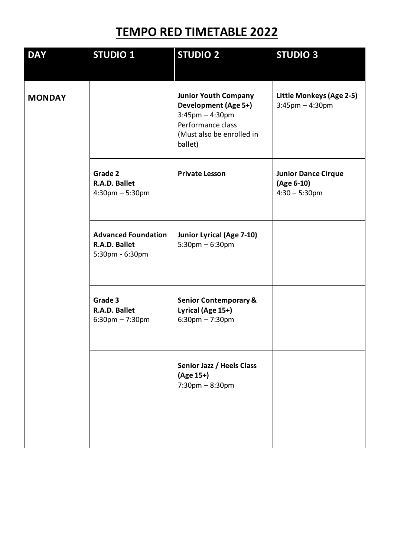## **TEMPO RED TIMETABLE 2022**

| <b>DAY</b>    | <b>STUDIO 1</b>                                                | <b>STUDIO 2</b>                                                                                                                                 | <b>STUDIO 3</b>                                              |
|---------------|----------------------------------------------------------------|-------------------------------------------------------------------------------------------------------------------------------------------------|--------------------------------------------------------------|
| <b>MONDAY</b> |                                                                | <b>Junior Youth Company</b><br><b>Development (Age 5+)</b><br>$3:45$ pm $-4:30$ pm<br>Performance class<br>(Must also be enrolled in<br>ballet) | Little Monkeys (Age 2-5)<br>$3:45$ pm $-4:30$ pm             |
|               | Grade 2<br>R.A.D. Ballet<br>$4:30$ pm $-5:30$ pm               | <b>Private Lesson</b>                                                                                                                           | <b>Junior Dance Cirque</b><br>(Age 6-10)<br>$4:30 - 5:30$ pm |
|               | <b>Advanced Foundation</b><br>R.A.D. Ballet<br>5:30pm - 6:30pm | Junior Lyrical (Age 7-10)<br>$5:30$ pm $-6:30$ pm                                                                                               |                                                              |
|               | Grade 3<br>R.A.D. Ballet<br>$6:30 \text{pm} - 7:30 \text{pm}$  | <b>Senior Contemporary &amp;</b><br>Lyrical (Age 15+)<br>$6:30$ pm $-7:30$ pm                                                                   |                                                              |
|               |                                                                | Senior Jazz / Heels Class<br>(Age 15+)<br>$7:30$ pm $-8:30$ pm                                                                                  |                                                              |
|               |                                                                |                                                                                                                                                 |                                                              |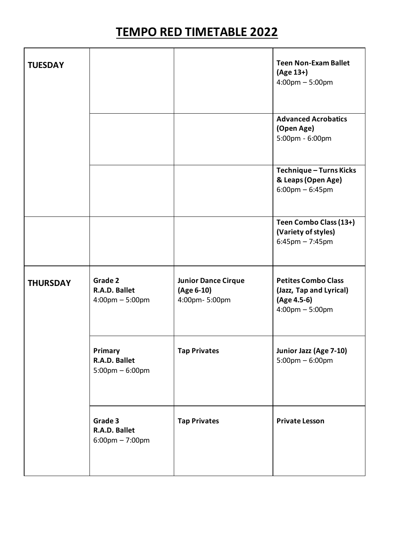## **TEMPO RED TIMETABLE 2022**

| <b>TUESDAY</b>  |                                                               |                                                           | <b>Teen Non-Exam Ballet</b><br>(Age 13+)<br>$4:00 \text{pm} - 5:00 \text{pm}$                             |
|-----------------|---------------------------------------------------------------|-----------------------------------------------------------|-----------------------------------------------------------------------------------------------------------|
|                 |                                                               |                                                           | <b>Advanced Acrobatics</b><br>(Open Age)<br>5:00pm - 6:00pm                                               |
|                 |                                                               |                                                           | Technique - Turns Kicks<br>& Leaps (Open Age)<br>$6:00 \text{pm} - 6:45 \text{pm}$                        |
|                 |                                                               |                                                           | Teen Combo Class (13+)<br>(Variety of styles)<br>$6:45$ pm $-7:45$ pm                                     |
| <b>THURSDAY</b> | Grade 2<br>R.A.D. Ballet<br>$4:00 \text{pm} - 5:00 \text{pm}$ | <b>Junior Dance Cirque</b><br>(Age 6-10)<br>4:00pm-5:00pm | <b>Petites Combo Class</b><br>(Jazz, Tap and Lyrical)<br>(Age 4.5-6)<br>$4:00 \text{pm} - 5:00 \text{pm}$ |
|                 | Primary<br>R.A.D. Ballet<br>$5:00 \text{pm} - 6:00 \text{pm}$ | <b>Tap Privates</b>                                       | Junior Jazz (Age 7-10)<br>$5:00 \text{pm} - 6:00 \text{pm}$                                               |
|                 | Grade 3<br>R.A.D. Ballet<br>$6:00 \text{pm} - 7:00 \text{pm}$ | <b>Tap Privates</b>                                       | <b>Private Lesson</b>                                                                                     |